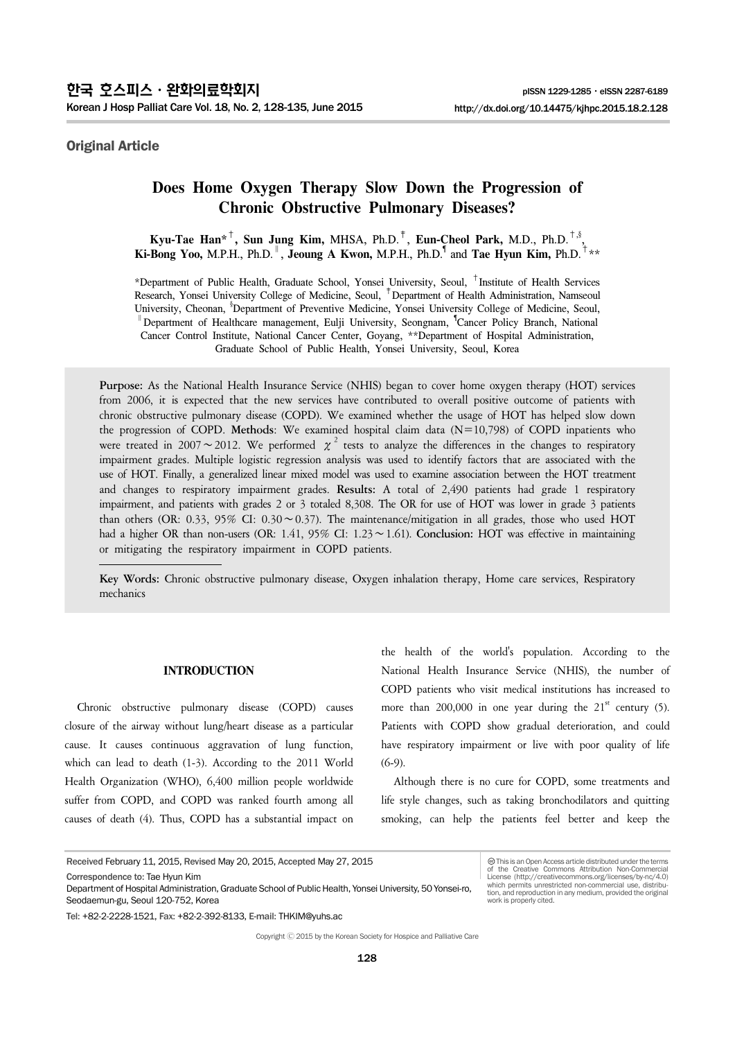# Original Article

# **Does Home Oxygen Therapy Slow Down the Progression of Chronic Obstructive Pulmonary Diseases?**

**Kyu-Tae Han\***†**, Sun Jung Kim,** MHSA, Ph.D.‡, **Eun-Cheol Park,** M.D., Ph.D.†,§ , **Ki-Bong Yoo,** M.P.H., Ph.D.<sup>∥</sup>, **Jeoung A Kwon,** M.P.H., Ph.D.¶ and **Tae Hyun Kim,** Ph.D.†\*\*

\*Department of Public Health, Graduate School, Yonsei University, Seoul, †Institute of Health Services Research, Yonsei University College of Medicine, Seoul, ‡Department of Health Administration, Namseoul University, Cheonan, <sup>\$</sup>Department of Preventive Medicine, Yonsei University College of Medicine, Seoul, <sup>∥</sup>Department of Healthcare management, Eulji University, Seongnam, ¶ Cancer Policy Branch, National Cancer Control Institute, National Cancer Center, Goyang, \*\*Department of Hospital Administration, Graduate School of Public Health, Yonsei University, Seoul, Korea

**Purpose:** As the National Health Insurance Service (NHIS) began to cover home oxygen therapy (HOT) services from 2006, it is expected that the new services have contributed to overall positive outcome of patients with chronic obstructive pulmonary disease (COPD). We examined whether the usage of HOT has helped slow down the progression of COPD. **Methods**: We examined hospital claim data (N=10,798) of COPD inpatients who were treated in 2007∼2012. We performed  $\chi^2$  tests to analyze the differences in the changes to respiratory impairment grades. Multiple logistic regression analysis was used to identify factors that are associated with the use of HOT. Finally, a generalized linear mixed model was used to examine association between the HOT treatment and changes to respiratory impairment grades. **Results:** A total of 2,490 patients had grade 1 respiratory impairment, and patients with grades 2 or 3 totaled 8,308. The OR for use of HOT was lower in grade 3 patients than others (OR: 0.33, 95% CI: 0.30∼0.37). The maintenance/mitigation in all grades, those who used HOT had a higher OR than non-users (OR: 1.41, 95% CI: 1.23∼1.61). **Conclusion:** HOT was effective in maintaining or mitigating the respiratory impairment in COPD patients.

**Key Words:** Chronic obstructive pulmonary disease, Oxygen inhalation therapy, Home care services, Respiratory mechanics

### **INTRODUCTION**

Chronic obstructive pulmonary disease (COPD) causes closure of the airway without lung/heart disease as a particular cause. It causes continuous aggravation of lung function, which can lead to death (1-3). According to the 2011 World Health Organization (WHO), 6,400 million people worldwide suffer from COPD, and COPD was ranked fourth among all causes of death (4). Thus, COPD has a substantial impact on

the health of the world's population. According to the National Health Insurance Service (NHIS), the number of COPD patients who visit medical institutions has increased to more than  $200,000$  in one year during the  $21<sup>st</sup>$  century (5). Patients with COPD show gradual deterioration, and could have respiratory impairment or live with poor quality of life (6-9).

Although there is no cure for COPD, some treatments and life style changes, such as taking bronchodilators and quitting smoking, can help the patients feel better and keep the

work is properly cited.

This is an Open Access article distributed under the terms of the Creative Commons Attribution Non-Commercial License (http://creativecommons.org/licenses/by-nc/4.0) which permits unrestricted non-commercial use, distribution, and reproduction in any medium, provided the original

Received February 11, 2015, Revised May 20, 2015, Accepted May 27, 2015

Correspondence to: Tae Hyun Kim

Tel: +82-2-2228-1521, Fax: +82-2-392-8133, E-mail: THKIM@yuhs.ac

Copyright Ⓒ 2015 by the Korean Society for Hospice and Palliative Care

Department of Hospital Administration, Graduate School of Public Health, Yonsei University, 50 Yonsei-ro, Seodaemun-gu, Seoul 120-752, Korea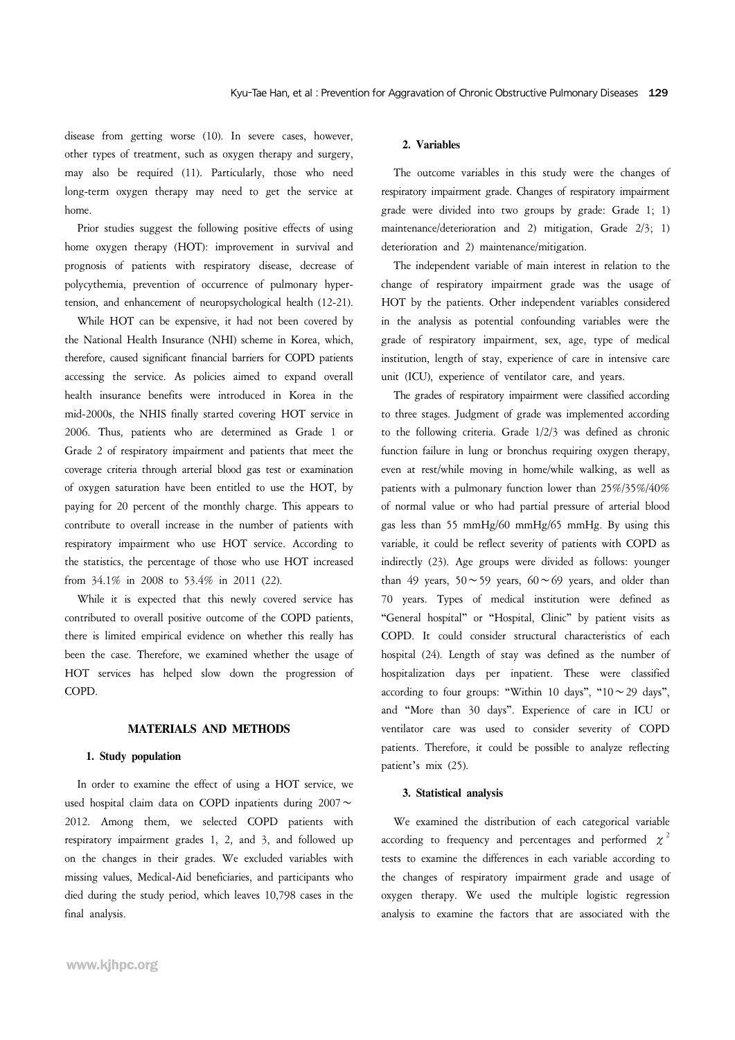disease from getting worse (10). In severe cases, however, other types of treatment, such as oxygen therapy and surgery, may also be required (11). Particularly, those who need long-term oxygen therapy may need to get the service at home.

Prior studies suggest the following positive effects of using home oxygen therapy (HOT): improvement in survival and prognosis of patients with respiratory disease, decrease of polycythemia, prevention of occurrence of pulmonary hypertension, and enhancement of neuropsychological health (12-21).

While HOT can be expensive, it had not been covered by the National Health Insurance (NHI) scheme in Korea, which, therefore, caused significant financial barriers for COPD patients accessing the service. As policies aimed to expand overall health insurance benefits were introduced in Korea in the mid-2000s, the NHIS finally started covering HOT service in 2006. Thus, patients who are determined as Grade 1 or Grade 2 of respiratory impairment and patients that meet the coverage criteria through arterial blood gas test or examination of oxygen saturation have been entitled to use the HOT, by paying for 20 percent of the monthly charge. This appears to contribute to overall increase in the number of patients with respiratory impairment who use HOT service. According to the statistics, the percentage of those who use HOT increased from 34.1% in 2008 to 53.4% in 2011 (22).

While it is expected that this newly covered service has contributed to overall positive outcome of the COPD patients, there is limited empirical evidence on whether this really has been the case. Therefore, we examined whether the usage of HOT services has helped slow down the progression of COPD.

#### **MATERIALS AND METHODS**

#### **1. Study population**

In order to examine the effect of using a HOT service, we used hospital claim data on COPD inpatients during 2007∼ 2012. Among them, we selected COPD patients with respiratory impairment grades 1, 2, and 3, and followed up on the changes in their grades. We excluded variables with missing values, Medical-Aid beneficiaries, and participants who died during the study period, which leaves 10,798 cases in the final analysis.

#### **2. Variables**

The outcome variables in this study were the changes of respiratory impairment grade. Changes of respiratory impairment grade were divided into two groups by grade: Grade 1; 1) maintenance/deterioration and 2) mitigation, Grade 2/3; 1) deterioration and 2) maintenance/mitigation.

The independent variable of main interest in relation to the change of respiratory impairment grade was the usage of HOT by the patients. Other independent variables considered in the analysis as potential confounding variables were the grade of respiratory impairment, sex, age, type of medical institution, length of stay, experience of care in intensive care unit (ICU), experience of ventilator care, and years.

The grades of respiratory impairment were classified according to three stages. Judgment of grade was implemented according to the following criteria. Grade 1/2/3 was defined as chronic function failure in lung or bronchus requiring oxygen therapy, even at rest/while moving in home/while walking, as well as patients with a pulmonary function lower than 25%/35%/40% of normal value or who had partial pressure of arterial blood gas less than 55 mmHg/60 mmHg/65 mmHg. By using this variable, it could be reflect severity of patients with COPD as indirectly (23). Age groups were divided as follows: younger than 49 years, 50∼59 years, 60∼69 years, and older than 70 years. Types of medical institution were defined as "General hospital" or "Hospital, Clinic" by patient visits as COPD. It could consider structural characteristics of each hospital (24). Length of stay was defined as the number of hospitalization days per inpatient. These were classified according to four groups: "Within 10 days", "10∼29 days", and "More than 30 days". Experience of care in ICU or ventilator care was used to consider severity of COPD patients. Therefore, it could be possible to analyze reflecting patient's mix (25).

#### **3. Statistical analysis**

We examined the distribution of each categorical variable according to frequency and percentages and performed  $\chi^2$ tests to examine the differences in each variable according to the changes of respiratory impairment grade and usage of oxygen therapy. We used the multiple logistic regression analysis to examine the factors that are associated with the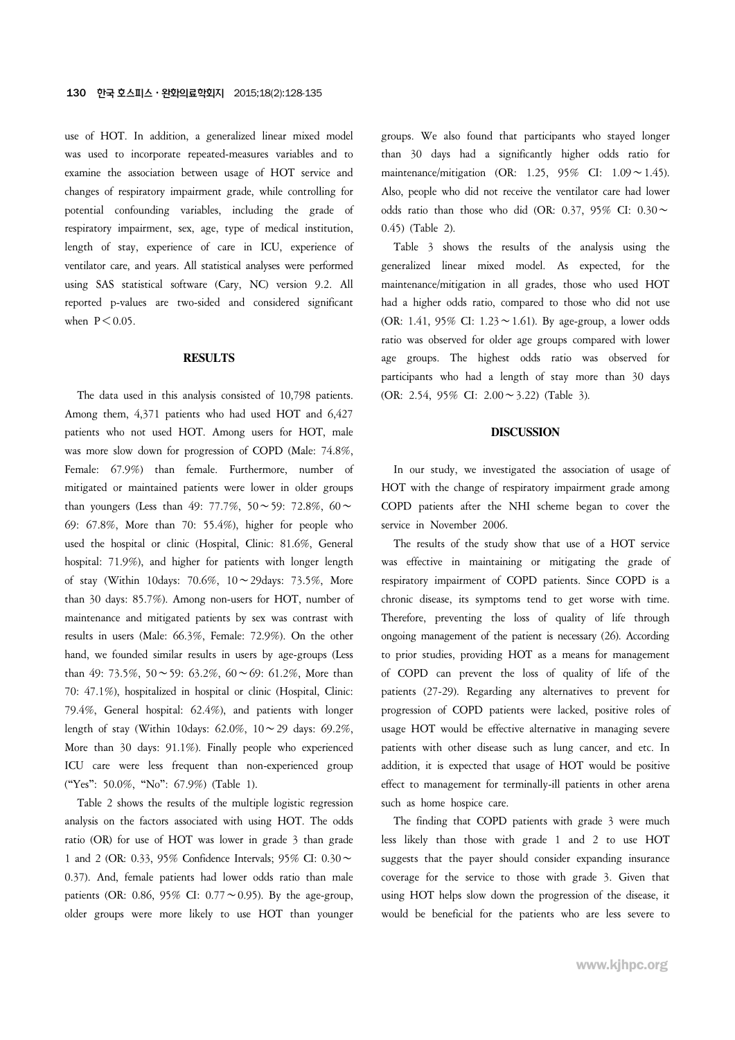use of HOT. In addition, a generalized linear mixed model was used to incorporate repeated-measures variables and to examine the association between usage of HOT service and changes of respiratory impairment grade, while controlling for potential confounding variables, including the grade of respiratory impairment, sex, age, type of medical institution, length of stay, experience of care in ICU, experience of ventilator care, and years. All statistical analyses were performed using SAS statistical software (Cary, NC) version 9.2. All reported p-values are two-sided and considered significant when  $P \leq 0.05$ .

### **RESULTS**

The data used in this analysis consisted of 10,798 patients. Among them, 4,371 patients who had used HOT and 6,427 patients who not used HOT. Among users for HOT, male was more slow down for progression of COPD (Male: 74.8%, Female: 67.9%) than female. Furthermore, number of mitigated or maintained patients were lower in older groups than youngers (Less than 49: 77.7%, 50∼59: 72.8%, 60∼ 69: 67.8%, More than 70: 55.4%), higher for people who used the hospital or clinic (Hospital, Clinic: 81.6%, General hospital: 71.9%), and higher for patients with longer length of stay (Within 10days: 70.6%, 10∼29days: 73.5%, More than 30 days: 85.7%). Among non-users for HOT, number of maintenance and mitigated patients by sex was contrast with results in users (Male: 66.3%, Female: 72.9%). On the other hand, we founded similar results in users by age-groups (Less than 49: 73.5%, 50∼59: 63.2%, 60∼69: 61.2%, More than 70: 47.1%), hospitalized in hospital or clinic (Hospital, Clinic: 79.4%, General hospital: 62.4%), and patients with longer length of stay (Within 10days: 62.0%, 10∼29 days: 69.2%, More than 30 days: 91.1%). Finally people who experienced ICU care were less frequent than non-experienced group ("Yes": 50.0%, "No": 67.9%) (Table 1).

Table 2 shows the results of the multiple logistic regression analysis on the factors associated with using HOT. The odds ratio (OR) for use of HOT was lower in grade 3 than grade 1 and 2 (OR: 0.33, 95% Confidence Intervals; 95% CI: 0.30∼ 0.37). And, female patients had lower odds ratio than male patients (OR: 0.86, 95% CI: 0.77∼0.95). By the age-group, older groups were more likely to use HOT than younger groups. We also found that participants who stayed longer than 30 days had a significantly higher odds ratio for maintenance/mitigation (OR: 1.25, 95% CI: 1.09∼1.45). Also, people who did not receive the ventilator care had lower odds ratio than those who did (OR: 0.37, 95% CI: 0.30∼ 0.45) (Table 2).

Table 3 shows the results of the analysis using the generalized linear mixed model. As expected, for the maintenance/mitigation in all grades, those who used HOT had a higher odds ratio, compared to those who did not use (OR: 1.41, 95% CI: 1.23∼1.61). By age-group, a lower odds ratio was observed for older age groups compared with lower age groups. The highest odds ratio was observed for participants who had a length of stay more than 30 days (OR: 2.54, 95% CI: 2.00∼3.22) (Table 3).

### **DISCUSSION**

In our study, we investigated the association of usage of HOT with the change of respiratory impairment grade among COPD patients after the NHI scheme began to cover the service in November 2006.

The results of the study show that use of a HOT service was effective in maintaining or mitigating the grade of respiratory impairment of COPD patients. Since COPD is a chronic disease, its symptoms tend to get worse with time. Therefore, preventing the loss of quality of life through ongoing management of the patient is necessary (26). According to prior studies, providing HOT as a means for management of COPD can prevent the loss of quality of life of the patients (27-29). Regarding any alternatives to prevent for progression of COPD patients were lacked, positive roles of usage HOT would be effective alternative in managing severe patients with other disease such as lung cancer, and etc. In addition, it is expected that usage of HOT would be positive effect to management for terminally-ill patients in other arena such as home hospice care.

The finding that COPD patients with grade 3 were much less likely than those with grade 1 and 2 to use HOT suggests that the payer should consider expanding insurance coverage for the service to those with grade 3. Given that using HOT helps slow down the progression of the disease, it would be beneficial for the patients who are less severe to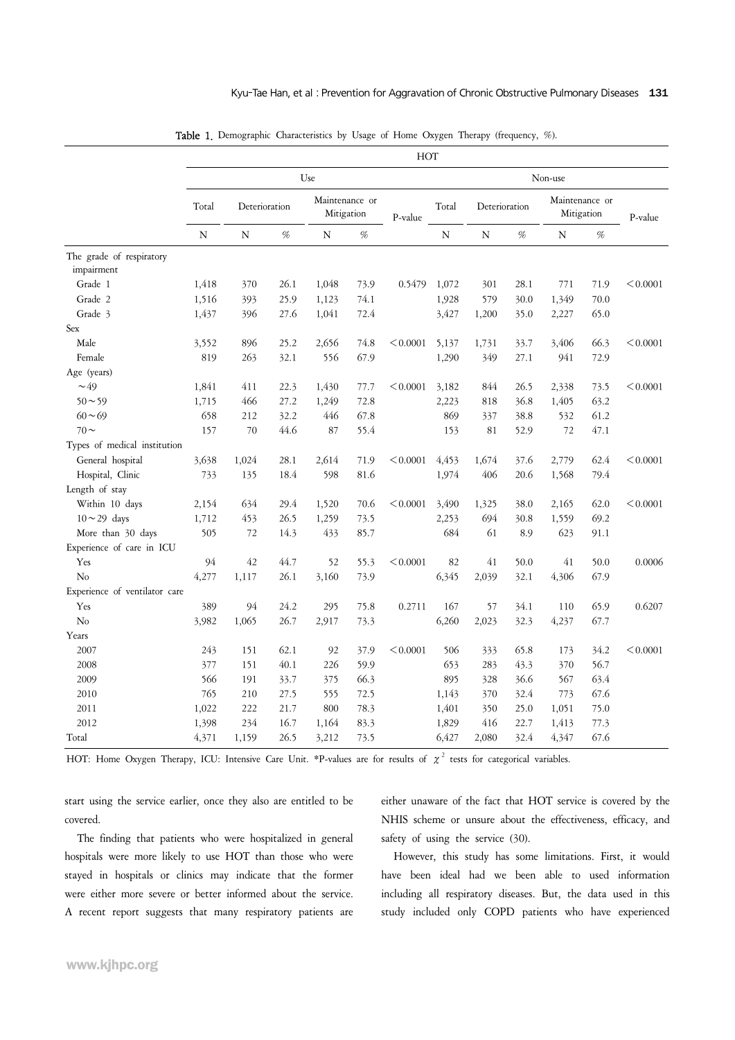|                                        |       | HOT           |      |                              |      |          |           |               |      |                              |      |          |
|----------------------------------------|-------|---------------|------|------------------------------|------|----------|-----------|---------------|------|------------------------------|------|----------|
|                                        |       |               |      | Use                          |      |          |           |               |      | Non-use                      |      |          |
|                                        | Total | Deterioration |      | Maintenance or<br>Mitigation |      | P-value  | Total     | Deterioration |      | Maintenance or<br>Mitigation |      | P-value  |
|                                        | N     | N             | $\%$ | N                            | %    |          | ${\bf N}$ | $\mathbf N$   | %    | N                            | %    |          |
| The grade of respiratory<br>impairment |       |               |      |                              |      |          |           |               |      |                              |      |          |
| Grade 1                                | 1,418 | 370           | 26.1 | 1,048                        | 73.9 | 0.5479   | 1,072     | 301           | 28.1 | 771                          | 71.9 | < 0.0001 |
| Grade 2                                | 1,516 | 393           | 25.9 | 1,123                        | 74.1 |          | 1,928     | 579           | 30.0 | 1,349                        | 70.0 |          |
| Grade 3                                | 1,437 | 396           | 27.6 | 1,041                        | 72.4 |          | 3,427     | 1,200         | 35.0 | 2,227                        | 65.0 |          |
| Sex                                    |       |               |      |                              |      |          |           |               |      |                              |      |          |
| Male                                   | 3,552 | 896           | 25.2 | 2,656                        | 74.8 | < 0.0001 | 5,137     | 1,731         | 33.7 | 3,406                        | 66.3 | < 0.0001 |
| Female                                 | 819   | 263           | 32.1 | 556                          | 67.9 |          | 1,290     | 349           | 27.1 | 941                          | 72.9 |          |
| Age (years)                            |       |               |      |                              |      |          |           |               |      |                              |      |          |
| $\sim$ 49                              | 1,841 | 411           | 22.3 | 1,430                        | 77.7 | < 0.0001 | 3,182     | 844           | 26.5 | 2,338                        | 73.5 | < 0.0001 |
| $50 \sim 59$                           | 1,715 | 466           | 27.2 | 1,249                        | 72.8 |          | 2,223     | 818           | 36.8 | 1,405                        | 63.2 |          |
| $60 - 69$                              | 658   | 212           | 32.2 | 446                          | 67.8 |          | 869       | 337           | 38.8 | 532                          | 61.2 |          |
| $70 \sim$                              | 157   | 70            | 44.6 | 87                           | 55.4 |          | 153       | 81            | 52.9 | 72                           | 47.1 |          |
| Types of medical institution           |       |               |      |                              |      |          |           |               |      |                              |      |          |
| General hospital                       | 3,638 | 1,024         | 28.1 | 2,614                        | 71.9 | < 0.0001 | 4,453     | 1,674         | 37.6 | 2,779                        | 62.4 | < 0.0001 |
| Hospital, Clinic                       | 733   | 135           | 18.4 | 598                          | 81.6 |          | 1,974     | 406           | 20.6 | 1,568                        | 79.4 |          |
| Length of stay                         |       |               |      |                              |      |          |           |               |      |                              |      |          |
| Within 10 days                         | 2,154 | 634           | 29.4 | 1,520                        | 70.6 | < 0.0001 | 3,490     | 1,325         | 38.0 | 2,165                        | 62.0 | < 0.0001 |
| $10 \sim 29$ days                      | 1,712 | 453           | 26.5 | 1,259                        | 73.5 |          | 2,253     | 694           | 30.8 | 1,559                        | 69.2 |          |
| More than 30 days                      | 505   | 72            | 14.3 | 433                          | 85.7 |          | 684       | 61            | 8.9  | 623                          | 91.1 |          |
| Experience of care in ICU              |       |               |      |                              |      |          |           |               |      |                              |      |          |
| Yes                                    | 94    | 42            | 44.7 | 52                           | 55.3 | < 0.0001 | 82        | 41            | 50.0 | 41                           | 50.0 | 0.0006   |
| N <sub>o</sub>                         | 4,277 | 1,117         | 26.1 | 3,160                        | 73.9 |          | 6,345     | 2,039         | 32.1 | 4,306                        | 67.9 |          |
| Experience of ventilator care          |       |               |      |                              |      |          |           |               |      |                              |      |          |
| Yes                                    | 389   | 94            | 24.2 | 295                          | 75.8 | 0.2711   | 167       | 57            | 34.1 | 110                          | 65.9 | 0.6207   |
| N <sub>o</sub>                         | 3,982 | 1,065         | 26.7 | 2,917                        | 73.3 |          | 6,260     | 2,023         | 32.3 | 4,237                        | 67.7 |          |
| Years                                  |       |               |      |                              |      |          |           |               |      |                              |      |          |
| 2007                                   | 243   | 151           | 62.1 | 92                           | 37.9 | < 0.0001 | 506       | 333           | 65.8 | 173                          | 34.2 | < 0.0001 |
| 2008                                   | 377   | 151           | 40.1 | 226                          | 59.9 |          | 653       | 283           | 43.3 | 370                          | 56.7 |          |
| 2009                                   | 566   | 191           | 33.7 | 375                          | 66.3 |          | 895       | 328           | 36.6 | 567                          | 63.4 |          |
| 2010                                   | 765   | 210           | 27.5 | 555                          | 72.5 |          | 1,143     | 370           | 32.4 | 773                          | 67.6 |          |
| 2011                                   | 1,022 | 222           | 21.7 | 800                          | 78.3 |          | 1,401     | 350           | 25.0 | 1,051                        | 75.0 |          |
| 2012                                   | 1,398 | 234           | 16.7 | 1,164                        | 83.3 |          | 1,829     | 416           | 22.7 | 1,413                        | 77.3 |          |
| Total                                  | 4,371 |               | 26.5 | 3,212                        | 73.5 |          | 6,427     | 2,080         | 32.4 | 4,347                        | 67.6 |          |
|                                        |       | 1,159         |      |                              |      |          |           |               |      |                              |      |          |

Table 1. Demographic Characteristics by Usage of Home Oxygen Therapy (frequency, %).

HOT: Home Oxygen Therapy, ICU: Intensive Care Unit. \*P-values are for results of  $\chi^2$  tests for categorical variables.

start using the service earlier, once they also are entitled to be covered.

The finding that patients who were hospitalized in general hospitals were more likely to use HOT than those who were stayed in hospitals or clinics may indicate that the former were either more severe or better informed about the service. A recent report suggests that many respiratory patients are

either unaware of the fact that HOT service is covered by the NHIS scheme or unsure about the effectiveness, efficacy, and safety of using the service (30).

However, this study has some limitations. First, it would have been ideal had we been able to used information including all respiratory diseases. But, the data used in this study included only COPD patients who have experienced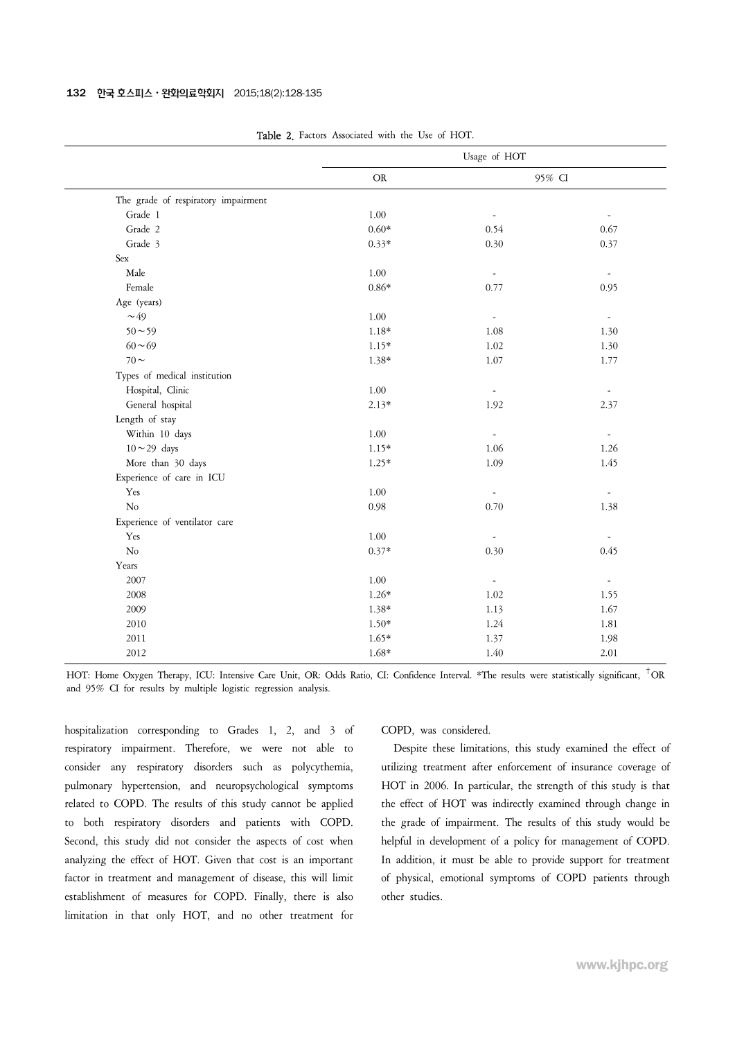|                                     | Usage of HOT |                          |                          |  |  |
|-------------------------------------|--------------|--------------------------|--------------------------|--|--|
|                                     | <b>OR</b>    |                          | 95% CI                   |  |  |
| The grade of respiratory impairment |              |                          |                          |  |  |
| Grade 1                             | 1.00         | $\overline{\phantom{a}}$ | $\overline{\phantom{a}}$ |  |  |
| Grade 2                             | $0.60*$      | 0.54                     | 0.67                     |  |  |
| Grade 3                             | $0.33*$      | 0.30                     | 0.37                     |  |  |
| Sex                                 |              |                          |                          |  |  |
| Male                                | 1.00         | $\overline{\phantom{a}}$ | $\overline{\phantom{a}}$ |  |  |
| Female                              | $0.86*$      | 0.77                     | 0.95                     |  |  |
| Age (years)                         |              |                          |                          |  |  |
| $\sim$ 49                           | 1.00         | $\overline{\phantom{a}}$ | $\overline{\phantom{a}}$ |  |  |
| $50 - 59$                           | $1.18*$      | 1.08                     | 1.30                     |  |  |
| $60 - 69$                           | $1.15*$      | 1.02                     | 1.30                     |  |  |
| $70 \sim$                           | 1.38*        | 1.07                     | 1.77                     |  |  |
| Types of medical institution        |              |                          |                          |  |  |
| Hospital, Clinic                    | 1.00         | $\overline{\phantom{a}}$ | $\overline{\phantom{a}}$ |  |  |
| General hospital                    | $2.13*$      | 1.92                     | 2.37                     |  |  |
| Length of stay                      |              |                          |                          |  |  |
| Within 10 days                      | 1.00         | $\overline{\phantom{a}}$ | $\frac{1}{2}$            |  |  |
| $10 \sim 29$ days                   | $1.15*$      | 1.06                     | 1.26                     |  |  |
| More than 30 days                   | $1.25*$      | 1.09                     | 1.45                     |  |  |
| Experience of care in ICU           |              |                          |                          |  |  |
| Yes                                 | 1.00         | $\overline{\phantom{a}}$ | $\overline{\phantom{a}}$ |  |  |
| No                                  | 0.98         | 0.70                     | 1.38                     |  |  |
| Experience of ventilator care       |              |                          |                          |  |  |
| Yes                                 | 1.00         | $\sim$                   | $\overline{\phantom{a}}$ |  |  |
| $\overline{\text{No}}$              | $0.37*$      | 0.30                     | 0.45                     |  |  |
| Years                               |              |                          |                          |  |  |
| 2007                                | 1.00         | $\overline{\phantom{a}}$ | $\overline{\phantom{a}}$ |  |  |
| 2008                                | $1.26*$      | 1.02                     | 1.55                     |  |  |
| 2009                                | 1.38*        | 1.13                     | 1.67                     |  |  |
| 2010                                | $1.50*$      | 1.24                     | 1.81                     |  |  |
| 2011                                | $1.65*$      | 1.37                     | 1.98                     |  |  |
| 2012                                | $1.68*$      | 1.40                     | 2.01                     |  |  |
|                                     |              |                          |                          |  |  |

Table 2. Factors Associated with the Use of HOT.

HOT: Home Oxygen Therapy, ICU: Intensive Care Unit, OR: Odds Ratio, CI: Confidence Interval. \*The results were statistically significant, †OR and 95% CI for results by multiple logistic regression analysis.

hospitalization corresponding to Grades 1, 2, and 3 of respiratory impairment. Therefore, we were not able to consider any respiratory disorders such as polycythemia, pulmonary hypertension, and neuropsychological symptoms related to COPD. The results of this study cannot be applied to both respiratory disorders and patients with COPD. Second, this study did not consider the aspects of cost when analyzing the effect of HOT. Given that cost is an important factor in treatment and management of disease, this will limit establishment of measures for COPD. Finally, there is also limitation in that only HOT, and no other treatment for

#### COPD, was considered.

Despite these limitations, this study examined the effect of utilizing treatment after enforcement of insurance coverage of HOT in 2006. In particular, the strength of this study is that the effect of HOT was indirectly examined through change in the grade of impairment. The results of this study would be helpful in development of a policy for management of COPD. In addition, it must be able to provide support for treatment of physical, emotional symptoms of COPD patients through other studies.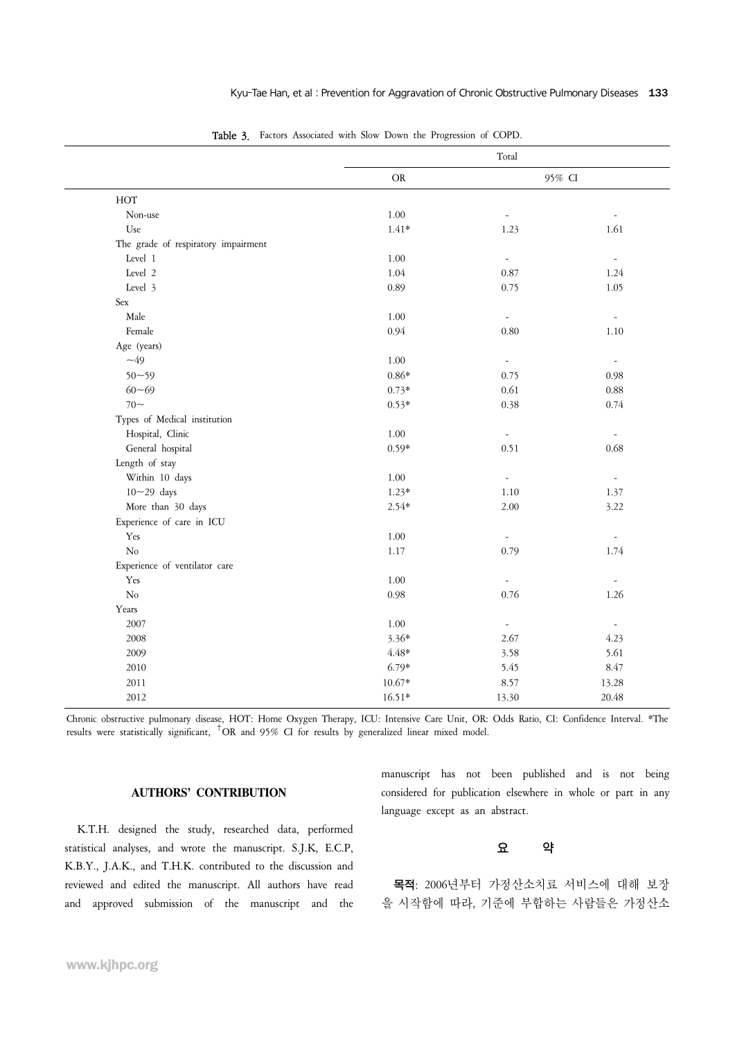|                                     |            | Total                    |                          |
|-------------------------------------|------------|--------------------------|--------------------------|
|                                     | ${\rm OR}$ |                          | 95% CI                   |
| $HOT$                               |            |                          |                          |
| Non-use                             | $1.00\,$   | $\overline{\phantom{a}}$ | $\overline{\phantom{a}}$ |
| Use                                 | $1.41*$    | 1.23                     | 1.61                     |
| The grade of respiratory impairment |            |                          |                          |
| Level 1                             | 1.00       | $\overline{\phantom{a}}$ | $\overline{\phantom{a}}$ |
| Level 2                             | 1.04       | 0.87                     | 1.24                     |
| Level 3                             | 0.89       | 0.75                     | 1.05                     |
| Sex                                 |            |                          |                          |
| Male                                | 1.00       | $\overline{\phantom{a}}$ | $\blacksquare$           |
| Female                              | 0.94       | 0.80                     | 1.10                     |
| Age (years)                         |            |                          |                          |
| $\sim$ 49                           | $1.00\,$   | $\blacksquare$           | $\overline{\phantom{a}}$ |
| $50 - 59$                           | $0.86*$    | 0.75                     | 0.98                     |
| $60 - 69$                           | $0.73*$    | 0.61                     | 0.88                     |
| $70-$                               | $0.53*$    | 0.38                     | 0.74                     |
| Types of Medical institution        |            |                          |                          |
| Hospital, Clinic                    | $1.00\,$   | $\overline{\phantom{a}}$ | $\blacksquare$           |
| General hospital                    | $0.59*$    | 0.51                     | 0.68                     |
| Length of stay                      |            |                          |                          |
| Within 10 days                      | 1.00       | $\overline{\phantom{a}}$ | $\overline{\phantom{a}}$ |
| $10 - 29$ days                      | $1.23*$    | 1.10                     | 1.37                     |
| More than 30 days                   | $2.54*$    | 2.00                     | 3.22                     |
| Experience of care in ICU           |            |                          |                          |
| Yes                                 | 1.00       | $\overline{\phantom{a}}$ | $\blacksquare$           |
| No                                  | 1.17       | 0.79                     | 1.74                     |
| Experience of ventilator care       |            |                          |                          |
| Yes                                 | 1.00       | $\overline{\phantom{a}}$ | $\overline{\phantom{a}}$ |
| $\rm No$                            | 0.98       | 0.76                     | 1.26                     |
| Years                               |            |                          |                          |
| 2007                                | 1.00       | $\overline{\phantom{a}}$ | $\blacksquare$           |
| 2008                                | $3.36*$    | 2.67                     | 4.23                     |
| 2009                                | $4.48*$    | 3.58                     | 5.61                     |
| 2010                                | $6.79*$    | 5.45                     | 8.47                     |
| 2011                                | $10.67*$   | 8.57                     | 13.28                    |
| 2012                                | $16.51*$   | 13.30                    | 20.48                    |

Table 3. Factors Associated with Slow Down the Progression of COPD.

Chronic obstructive pulmonary disease, HOT: Home Oxygen Therapy, ICU: Intensive Care Unit, OR: Odds Ratio, CI: Confidence Interval. \*The results were statistically significant, †OR and 95% CI for results by generalized linear mixed model.

### **AUTHORS' CONTRIBUTION**

K.T.H. designed the study, researched data, performed statistical analyses, and wrote the manuscript. S.J.K, E.C.P, K.B.Y., J.A.K., and T.H.K. contributed to the discussion and reviewed and edited the manuscript. All authors have read and approved submission of the manuscript and the manuscript has not been published and is not being considered for publication elsewhere in whole or part in any language except as an abstract.

## 요 약

목적: 2006년부터 가정산소치료 서비스에 대해 보장 을 시작함에 따라, 기준에 부합하는 사람들은 가정산소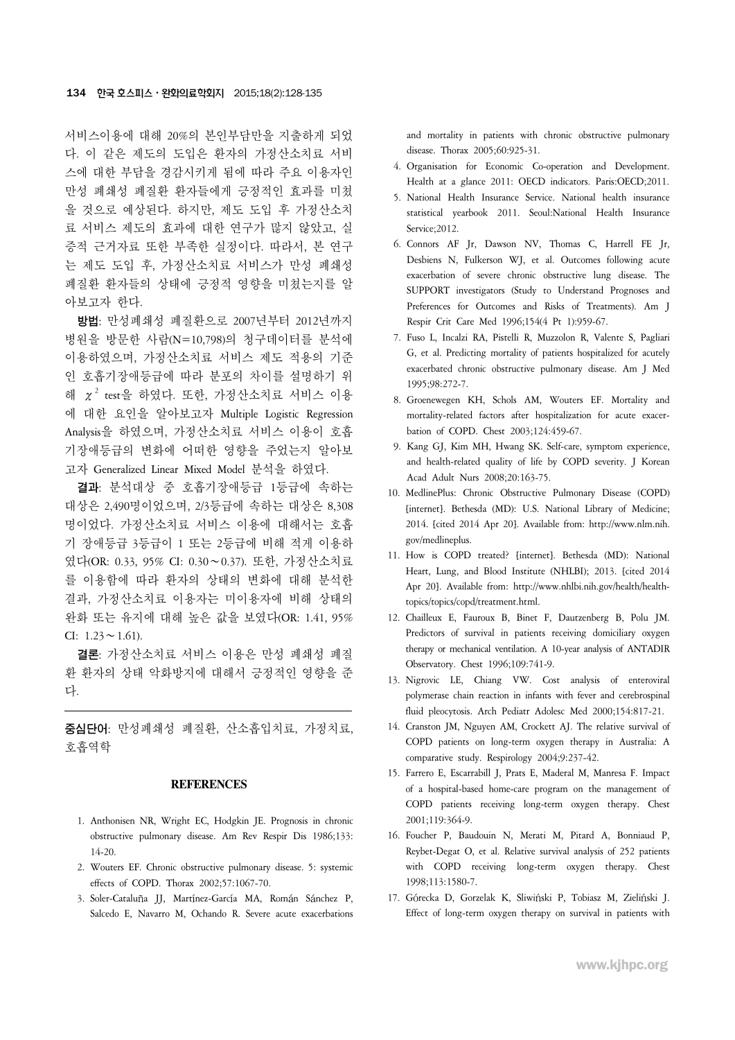서비스이용에 대해 20%의 본인부담만을 지출하게 되었 다. 이 같은 제도의 도입은 환자의 가정산소치료 서비 스에 대한 부담을 경감시키게 됨에 따라 주요 이용자인 만성 폐쇄성 폐질환 환자들에게 긍정적인 효과를 미쳤 을 것으로 예상된다. 하지만, 제도 도입 후 가정산소치 료 서비스 제도의 효과에 대한 연구가 많지 않았고, 실 증적 근거자료 또한 부족한 실정이다. 따라서, 본 연구 는 제도 도입 후, 가정산소치료 서비스가 만성 폐쇄성 폐질환 환자들의 상태에 긍정적 영향을 미쳤는지를 알 아보고자 한다.

방법: 만성폐쇄성 폐질환으로 2007년부터 2012년까지 병원을 방문한 사람(N=10,798)의 청구데이터를 분석에 이용하였으며, 가정산소치료 서비스 제도 적용의 기준 인 호흡기장애등급에 따라 분포의 차이를 설명하기 위 해  $\chi^2$  test을 하였다. 또한, 가정산소치료 서비스 이용 에 대한 요인을 알아보고자 Multiple Logistic Regression Analysis을 하였으며, 가정산소치료 서비스 이용이 호흡 기장애등급의 변화에 어떠한 영향을 주었는지 알아보 고자 Generalized Linear Mixed Model 분석을 하였다.

결과: 분석대상 중 호흡기장애등급 1등급에 속하는 대상은 2,490명이었으며, 2/3등급에 속하는 대상은 8,308 명이었다. 가정산소치료 서비스 이용에 대해서는 호흡 기 장애등급 3등급이 1 또는 2등급에 비해 적게 이용하 였다(OR: 0.33, 95% CI: 0.30∼0.37). 또한, 가정산소치료 를 이용함에 따라 환자의 상태의 변화에 대해 분석한 결과, 가정산소치료 이용자는 미이용자에 비해 상태의 완화 또는 유지에 대해 높은 값을 보였다(OR: 1.41, 95% CI:  $1.23 \sim 1.61$ ).

결론: 가정산소치료 서비스 이용은 만성 폐쇄성 폐질 환 환자의 상태 악화방지에 대해서 긍정적인 영향을 준 다.

중심단어: 만성폐쇄성 폐질환, 산소흡입치료, 가정치료, 호흡역학

### **REFERENCES**

- 1. Anthonisen NR, Wright EC, Hodgkin JE. Prognosis in chronic obstructive pulmonary disease. Am Rev Respir Dis 1986;133: 14-20.
- 2. Wouters EF. Chronic obstructive pulmonary disease. 5: systemic effects of COPD. Thorax 2002;57:1067-70.
- 3. Soler-Cataluña JJ, Martínez-García MA, Román Sánchez P, Salcedo E, Navarro M, Ochando R. Severe acute exacerbations

and mortality in patients with chronic obstructive pulmonary disease. Thorax 2005;60:925-31.

- 4. Organisation for Economic Co-operation and Development. Health at a glance 2011: OECD indicators. Paris:OECD;2011.
- 5. National Health Insurance Service. National health insurance statistical yearbook 2011. Seoul:National Health Insurance Service; 2012.
- 6. Connors AF Jr, Dawson NV, Thomas C, Harrell FE Jr, Desbiens N, Fulkerson WJ, et al. Outcomes following acute exacerbation of severe chronic obstructive lung disease. The SUPPORT investigators (Study to Understand Prognoses and Preferences for Outcomes and Risks of Treatments). Am J Respir Crit Care Med 1996;154(4 Pt 1):959-67.
- 7. Fuso L, Incalzi RA, Pistelli R, Muzzolon R, Valente S, Pagliari G, et al. Predicting mortality of patients hospitalized for acutely exacerbated chronic obstructive pulmonary disease. Am J Med 1995;98:272-7.
- 8. Groenewegen KH, Schols AM, Wouters EF. Mortality and mortality-related factors after hospitalization for acute exacerbation of COPD. Chest 2003;124:459-67.
- 9. Kang GJ, Kim MH, Hwang SK. Self-care, symptom experience, and health-related quality of life by COPD severity. J Korean Acad Adult Nurs 2008;20:163-75.
- 10. MedlinePlus: Chronic Obstructive Pulmonary Disease (COPD) [internet]. Bethesda (MD): U.S. National Library of Medicine; 2014. [cited 2014 Apr 20]. Available from: http://www.nlm.nih. gov/medlineplus.
- 11. How is COPD treated? [internet]. Bethesda (MD): National Heart, Lung, and Blood Institute (NHLBI); 2013. [cited 2014 Apr 20]. Available from: http://www.nhlbi.nih.gov/health/healthtopics/topics/copd/treatment.html.
- 12. Chailleux E, Fauroux B, Binet F, Dautzenberg B, Polu JM. Predictors of survival in patients receiving domiciliary oxygen therapy or mechanical ventilation. A 10-year analysis of ANTADIR Observatory. Chest 1996;109:741-9.
- 13. Nigrovic LE, Chiang VW. Cost analysis of enteroviral polymerase chain reaction in infants with fever and cerebrospinal fluid pleocytosis. Arch Pediatr Adolesc Med 2000;154:817-21.
- 14. Cranston JM, Nguyen AM, Crockett AJ. The relative survival of COPD patients on long-term oxygen therapy in Australia: A comparative study. Respirology 2004;9:237-42.
- 15. Farrero E, Escarrabill J, Prats E, Maderal M, Manresa F. Impact of a hospital-based home-care program on the management of COPD patients receiving long-term oxygen therapy. Chest 2001;119:364-9.
- 16. Foucher P, Baudouin N, Merati M, Pitard A, Bonniaud P, Reybet-Degat O, et al. Relative survival analysis of 252 patients with COPD receiving long-term oxygen therapy. Chest 1998;113:1580-7.
- 17. Górecka D, Gorzelak K, Sliwiński P, Tobiasz M, Zieliński J. Effect of long-term oxygen therapy on survival in patients with